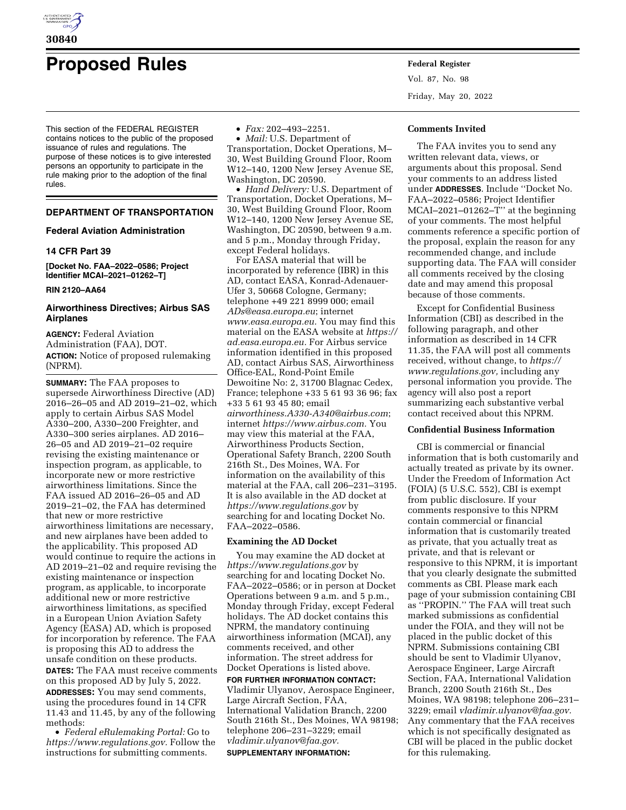

# **Proposed Rules Federal Register**

This section of the FEDERAL REGISTER contains notices to the public of the proposed issuance of rules and regulations. The purpose of these notices is to give interested persons an opportunity to participate in the rule making prior to the adoption of the final rules.

# **DEPARTMENT OF TRANSPORTATION**

# **Federal Aviation Administration**

# **14 CFR Part 39**

**[Docket No. FAA–2022–0586; Project Identifier MCAI–2021–01262–T]** 

## **RIN 2120–AA64**

# **Airworthiness Directives; Airbus SAS Airplanes**

**AGENCY:** Federal Aviation Administration (FAA), DOT. **ACTION:** Notice of proposed rulemaking (NPRM).

**SUMMARY:** The FAA proposes to supersede Airworthiness Directive (AD) 2016–26–05 and AD 2019–21–02, which apply to certain Airbus SAS Model A330–200, A330–200 Freighter, and A330–300 series airplanes. AD 2016– 26–05 and AD 2019–21–02 require revising the existing maintenance or inspection program, as applicable, to incorporate new or more restrictive airworthiness limitations. Since the FAA issued AD 2016–26–05 and AD 2019–21–02, the FAA has determined that new or more restrictive airworthiness limitations are necessary, and new airplanes have been added to the applicability. This proposed AD would continue to require the actions in AD 2019–21–02 and require revising the existing maintenance or inspection program, as applicable, to incorporate additional new or more restrictive airworthiness limitations, as specified in a European Union Aviation Safety Agency (EASA) AD, which is proposed for incorporation by reference. The FAA is proposing this AD to address the unsafe condition on these products. **DATES:** The FAA must receive comments on this proposed AD by July 5, 2022. **ADDRESSES:** You may send comments, using the procedures found in 14 CFR 11.43 and 11.45, by any of the following methods:

• *Federal eRulemaking Portal:* Go to *[https://www.regulations.gov.](https://www.regulations.gov)* Follow the instructions for submitting comments.

• *Fax:* 202–493–2251.

• *Mail:* U.S. Department of Transportation, Docket Operations, M– 30, West Building Ground Floor, Room W12–140, 1200 New Jersey Avenue SE, Washington, DC 20590.

• *Hand Delivery:* U.S. Department of Transportation, Docket Operations, M– 30, West Building Ground Floor, Room W12–140, 1200 New Jersey Avenue SE, Washington, DC 20590, between 9 a.m. and 5 p.m., Monday through Friday, except Federal holidays.

For EASA material that will be incorporated by reference (IBR) in this AD, contact EASA, Konrad-Adenauer-Ufer 3, 50668 Cologne, Germany; telephone +49 221 8999 000; email *[ADs@easa.europa.eu](mailto:ADs@easa.europa.eu)*; internet *[www.easa.europa.eu.](http://www.easa.europa.eu)* You may find this material on the EASA website at *[https://](https://ad.easa.europa.eu)  [ad.easa.europa.eu.](https://ad.easa.europa.eu)* For Airbus service information identified in this proposed AD, contact Airbus SAS, Airworthiness Office-EAL, Rond-Point Emile Dewoitine No: 2, 31700 Blagnac Cedex, France; telephone +33 5 61 93 36 96; fax +33 5 61 93 45 80; email *[airworthiness.A330-A340@airbus.com](mailto:airworthiness.A330-A340@airbus.com)*; internet *[https://www.airbus.com.](https://www.airbus.com)* You may view this material at the FAA, Airworthiness Products Section, Operational Safety Branch, 2200 South 216th St., Des Moines, WA. For information on the availability of this material at the FAA, call 206–231–3195. It is also available in the AD docket at *<https://www.regulations.gov>* by searching for and locating Docket No. FAA–2022–0586.

# **Examining the AD Docket**

You may examine the AD docket at *<https://www.regulations.gov>* by searching for and locating Docket No. FAA–2022–0586; or in person at Docket Operations between 9 a.m. and 5 p.m., Monday through Friday, except Federal holidays. The AD docket contains this NPRM, the mandatory continuing airworthiness information (MCAI), any comments received, and other information. The street address for Docket Operations is listed above.

**FOR FURTHER INFORMATION CONTACT:**  Vladimir Ulyanov, Aerospace Engineer, Large Aircraft Section, FAA, International Validation Branch, 2200 South 216th St., Des Moines, WA 98198; telephone 206–231–3229; email *[vladimir.ulyanov@faa.gov.](mailto:vladimir.ulyanov@faa.gov)*  **SUPPLEMENTARY INFORMATION:** 

Vol. 87, No. 98 Friday, May 20, 2022

# **Comments Invited**

The FAA invites you to send any written relevant data, views, or arguments about this proposal. Send your comments to an address listed under **ADDRESSES**. Include ''Docket No. FAA–2022–0586; Project Identifier MCAI–2021–01262–T'' at the beginning of your comments. The most helpful comments reference a specific portion of the proposal, explain the reason for any recommended change, and include supporting data. The FAA will consider all comments received by the closing date and may amend this proposal because of those comments.

Except for Confidential Business Information (CBI) as described in the following paragraph, and other information as described in 14 CFR 11.35, the FAA will post all comments received, without change, to *[https://](https://www.regulations.gov) [www.regulations.gov,](https://www.regulations.gov)* including any personal information you provide. The agency will also post a report summarizing each substantive verbal contact received about this NPRM.

# **Confidential Business Information**

CBI is commercial or financial information that is both customarily and actually treated as private by its owner. Under the Freedom of Information Act (FOIA) (5 U.S.C. 552), CBI is exempt from public disclosure. If your comments responsive to this NPRM contain commercial or financial information that is customarily treated as private, that you actually treat as private, and that is relevant or responsive to this NPRM, it is important that you clearly designate the submitted comments as CBI. Please mark each page of your submission containing CBI as ''PROPIN.'' The FAA will treat such marked submissions as confidential under the FOIA, and they will not be placed in the public docket of this NPRM. Submissions containing CBI should be sent to Vladimir Ulyanov, Aerospace Engineer, Large Aircraft Section, FAA, International Validation Branch, 2200 South 216th St., Des Moines, WA 98198; telephone 206–231– 3229; email *[vladimir.ulyanov@faa.gov.](mailto:vladimir.ulyanov@faa.gov)*  Any commentary that the FAA receives which is not specifically designated as CBI will be placed in the public docket for this rulemaking.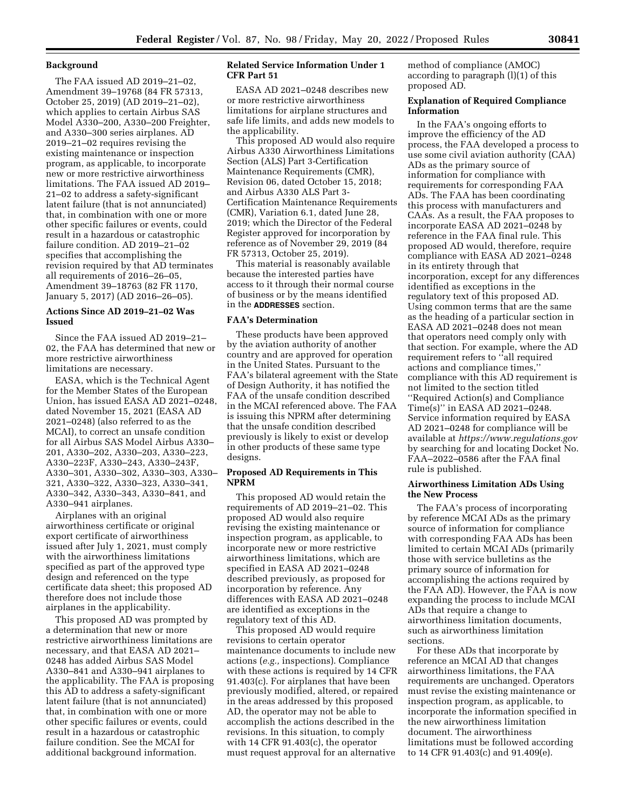# **Background**

The FAA issued AD 2019–21–02, Amendment 39–19768 (84 FR 57313, October 25, 2019) (AD 2019–21–02), which applies to certain Airbus SAS Model A330–200, A330–200 Freighter, and A330–300 series airplanes. AD 2019–21–02 requires revising the existing maintenance or inspection program, as applicable, to incorporate new or more restrictive airworthiness limitations. The FAA issued AD 2019– 21–02 to address a safety-significant latent failure (that is not annunciated) that, in combination with one or more other specific failures or events, could result in a hazardous or catastrophic failure condition. AD 2019–21–02 specifies that accomplishing the revision required by that AD terminates all requirements of 2016–26–05, Amendment 39–18763 (82 FR 1170, January 5, 2017) (AD 2016–26–05).

# **Actions Since AD 2019–21–02 Was Issued**

Since the FAA issued AD 2019–21– 02, the FAA has determined that new or more restrictive airworthiness limitations are necessary.

EASA, which is the Technical Agent for the Member States of the European Union, has issued EASA AD 2021–0248, dated November 15, 2021 (EASA AD 2021–0248) (also referred to as the MCAI), to correct an unsafe condition for all Airbus SAS Model Airbus A330– 201, A330–202, A330–203, A330–223, A330–223F, A330–243, A330–243F, A330–301, A330–302, A330–303, A330– 321, A330–322, A330–323, A330–341, A330–342, A330–343, A330–841, and A330–941 airplanes.

Airplanes with an original airworthiness certificate or original export certificate of airworthiness issued after July 1, 2021, must comply with the airworthiness limitations specified as part of the approved type design and referenced on the type certificate data sheet; this proposed AD therefore does not include those airplanes in the applicability.

This proposed AD was prompted by a determination that new or more restrictive airworthiness limitations are necessary, and that EASA AD 2021– 0248 has added Airbus SAS Model A330–841 and A330–941 airplanes to the applicability. The FAA is proposing this AD to address a safety-significant latent failure (that is not annunciated) that, in combination with one or more other specific failures or events, could result in a hazardous or catastrophic failure condition. See the MCAI for additional background information.

# **Related Service Information Under 1 CFR Part 51**

EASA AD 2021–0248 describes new or more restrictive airworthiness limitations for airplane structures and safe life limits, and adds new models to the applicability.

This proposed AD would also require Airbus A330 Airworthiness Limitations Section (ALS) Part 3-Certification Maintenance Requirements (CMR), Revision 06, dated October 15, 2018; and Airbus A330 ALS Part 3- Certification Maintenance Requirements (CMR), Variation 6.1, dated June 28, 2019; which the Director of the Federal Register approved for incorporation by reference as of November 29, 2019 (84 FR 57313, October 25, 2019).

This material is reasonably available because the interested parties have access to it through their normal course of business or by the means identified in the **ADDRESSES** section.

#### **FAA's Determination**

These products have been approved by the aviation authority of another country and are approved for operation in the United States. Pursuant to the FAA's bilateral agreement with the State of Design Authority, it has notified the FAA of the unsafe condition described in the MCAI referenced above. The FAA is issuing this NPRM after determining that the unsafe condition described previously is likely to exist or develop in other products of these same type designs.

# **Proposed AD Requirements in This NPRM**

This proposed AD would retain the requirements of AD 2019–21–02. This proposed AD would also require revising the existing maintenance or inspection program, as applicable, to incorporate new or more restrictive airworthiness limitations, which are specified in EASA AD 2021–0248 described previously, as proposed for incorporation by reference. Any differences with EASA AD 2021–0248 are identified as exceptions in the regulatory text of this AD.

This proposed AD would require revisions to certain operator maintenance documents to include new actions (*e.g.,* inspections). Compliance with these actions is required by 14 CFR 91.403(c). For airplanes that have been previously modified, altered, or repaired in the areas addressed by this proposed AD, the operator may not be able to accomplish the actions described in the revisions. In this situation, to comply with 14 CFR 91.403(c), the operator must request approval for an alternative

method of compliance (AMOC) according to paragraph (l)(1) of this proposed AD.

# **Explanation of Required Compliance Information**

In the FAA's ongoing efforts to improve the efficiency of the AD process, the FAA developed a process to use some civil aviation authority (CAA) ADs as the primary source of information for compliance with requirements for corresponding FAA ADs. The FAA has been coordinating this process with manufacturers and CAAs. As a result, the FAA proposes to incorporate EASA AD 2021–0248 by reference in the FAA final rule. This proposed AD would, therefore, require compliance with EASA AD 2021–0248 in its entirety through that incorporation, except for any differences identified as exceptions in the regulatory text of this proposed AD. Using common terms that are the same as the heading of a particular section in EASA AD 2021–0248 does not mean that operators need comply only with that section. For example, where the AD requirement refers to ''all required actions and compliance times,'' compliance with this AD requirement is not limited to the section titled ''Required Action(s) and Compliance Time(s)'' in EASA AD 2021–0248. Service information required by EASA AD 2021–0248 for compliance will be available at *<https://www.regulations.gov>* by searching for and locating Docket No. FAA–2022–0586 after the FAA final rule is published.

# **Airworthiness Limitation ADs Using the New Process**

The FAA's process of incorporating by reference MCAI ADs as the primary source of information for compliance with corresponding FAA ADs has been limited to certain MCAI ADs (primarily those with service bulletins as the primary source of information for accomplishing the actions required by the FAA AD). However, the FAA is now expanding the process to include MCAI ADs that require a change to airworthiness limitation documents, such as airworthiness limitation sections.

For these ADs that incorporate by reference an MCAI AD that changes airworthiness limitations, the FAA requirements are unchanged. Operators must revise the existing maintenance or inspection program, as applicable, to incorporate the information specified in the new airworthiness limitation document. The airworthiness limitations must be followed according to 14 CFR 91.403(c) and 91.409(e).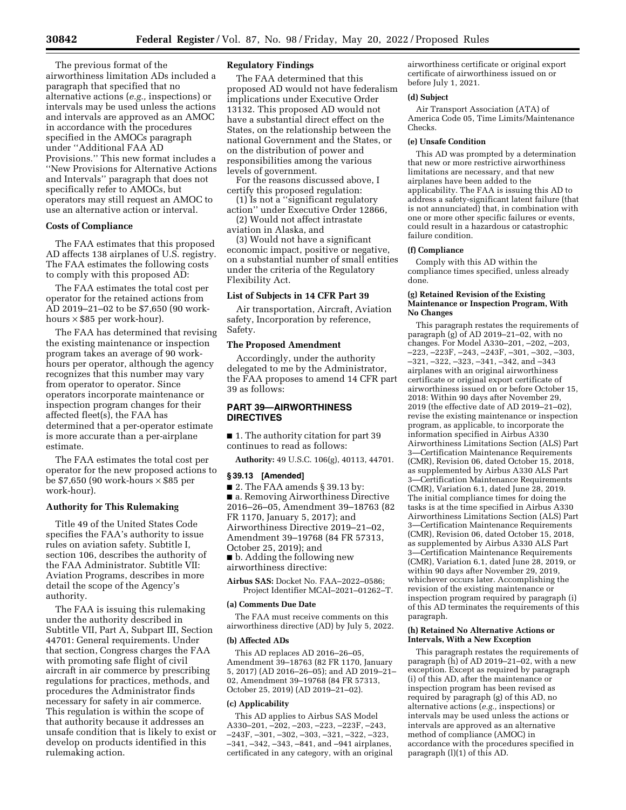The previous format of the airworthiness limitation ADs included a paragraph that specified that no alternative actions (*e.g.,* inspections) or intervals may be used unless the actions and intervals are approved as an AMOC in accordance with the procedures specified in the AMOCs paragraph under ''Additional FAA AD Provisions.'' This new format includes a ''New Provisions for Alternative Actions and Intervals'' paragraph that does not specifically refer to AMOCs, but operators may still request an AMOC to use an alternative action or interval.

# **Costs of Compliance**

The FAA estimates that this proposed AD affects 138 airplanes of U.S. registry. The FAA estimates the following costs to comply with this proposed AD:

The FAA estimates the total cost per operator for the retained actions from AD 2019–21–02 to be \$7,650 (90 workhours × \$85 per work-hour).

The FAA has determined that revising the existing maintenance or inspection program takes an average of 90 workhours per operator, although the agency recognizes that this number may vary from operator to operator. Since operators incorporate maintenance or inspection program changes for their affected fleet(s), the FAA has determined that a per-operator estimate is more accurate than a per-airplane estimate.

The FAA estimates the total cost per operator for the new proposed actions to be \$7,650 (90 work-hours  $\times$  \$85 per work-hour).

## **Authority for This Rulemaking**

Title 49 of the United States Code specifies the FAA's authority to issue rules on aviation safety. Subtitle I, section 106, describes the authority of the FAA Administrator. Subtitle VII: Aviation Programs, describes in more detail the scope of the Agency's authority.

The FAA is issuing this rulemaking under the authority described in Subtitle VII, Part A, Subpart III, Section 44701: General requirements. Under that section, Congress charges the FAA with promoting safe flight of civil aircraft in air commerce by prescribing regulations for practices, methods, and procedures the Administrator finds necessary for safety in air commerce. This regulation is within the scope of that authority because it addresses an unsafe condition that is likely to exist or develop on products identified in this rulemaking action.

# **Regulatory Findings**

The FAA determined that this proposed AD would not have federalism implications under Executive Order 13132. This proposed AD would not have a substantial direct effect on the States, on the relationship between the national Government and the States, or on the distribution of power and responsibilities among the various levels of government.

For the reasons discussed above, I certify this proposed regulation:

(1) Is not a ''significant regulatory action'' under Executive Order 12866, (2) Would not affect intrastate

aviation in Alaska, and

(3) Would not have a significant economic impact, positive or negative, on a substantial number of small entities under the criteria of the Regulatory Flexibility Act.

# **List of Subjects in 14 CFR Part 39**

Air transportation, Aircraft, Aviation safety, Incorporation by reference, Safety.

# **The Proposed Amendment**

Accordingly, under the authority delegated to me by the Administrator, the FAA proposes to amend 14 CFR part 39 as follows:

# **PART 39—AIRWORTHINESS DIRECTIVES**

■ 1. The authority citation for part 39 continues to read as follows:

**Authority:** 49 U.S.C. 106(g), 40113, 44701.

#### **§ 39.13 [Amended]**

■ 2. The FAA amends § 39.13 by: ■ a. Removing Airworthiness Directive 2016–26–05, Amendment 39–18763 (82 FR 1170, January 5, 2017); and Airworthiness Directive 2019–21–02, Amendment 39–19768 (84 FR 57313, October 25, 2019); and ■ b. Adding the following new airworthiness directive:

**Airbus SAS:** Docket No. FAA–2022–0586; Project Identifier MCAI–2021–01262–T.

#### **(a) Comments Due Date**

The FAA must receive comments on this airworthiness directive (AD) by July 5, 2022.

#### **(b) Affected ADs**

This AD replaces AD 2016–26–05, Amendment 39–18763 (82 FR 1170, January 5, 2017) (AD 2016–26–05); and AD 2019–21– 02, Amendment 39–19768 (84 FR 57313, October 25, 2019) (AD 2019–21–02).

#### **(c) Applicability**

This AD applies to Airbus SAS Model A330–201, –202, –203, –223, –223F, –243, –243F, –301, –302, –303, –321, –322, –323, –341, –342, –343, –841, and –941 airplanes, certificated in any category, with an original

airworthiness certificate or original export certificate of airworthiness issued on or before July 1, 2021.

## **(d) Subject**

Air Transport Association (ATA) of America Code 05, Time Limits/Maintenance Checks.

## **(e) Unsafe Condition**

This AD was prompted by a determination that new or more restrictive airworthiness limitations are necessary, and that new airplanes have been added to the applicability. The FAA is issuing this AD to address a safety-significant latent failure (that is not annunciated) that, in combination with one or more other specific failures or events, could result in a hazardous or catastrophic failure condition.

#### **(f) Compliance**

Comply with this AD within the compliance times specified, unless already done.

# **(g) Retained Revision of the Existing Maintenance or Inspection Program, With No Changes**

This paragraph restates the requirements of paragraph (g) of AD 2019–21–02, with no changes. For Model A330–201, –202, –203, –223, –223F, –243, –243F, –301, –302, –303, –321, –322, –323, –341, –342, and –343 airplanes with an original airworthiness certificate or original export certificate of airworthiness issued on or before October 15, 2018: Within 90 days after November 29, 2019 (the effective date of AD 2019–21–02), revise the existing maintenance or inspection program, as applicable, to incorporate the information specified in Airbus A330 Airworthiness Limitations Section (ALS) Part 3—Certification Maintenance Requirements (CMR), Revision 06, dated October 15, 2018, as supplemented by Airbus A330 ALS Part 3—Certification Maintenance Requirements (CMR), Variation 6.1, dated June 28, 2019. The initial compliance times for doing the tasks is at the time specified in Airbus A330 Airworthiness Limitations Section (ALS) Part 3—Certification Maintenance Requirements (CMR), Revision 06, dated October 15, 2018, as supplemented by Airbus A330 ALS Part 3—Certification Maintenance Requirements (CMR), Variation 6.1, dated June 28, 2019, or within 90 days after November 29, 2019, whichever occurs later. Accomplishing the revision of the existing maintenance or inspection program required by paragraph (i) of this AD terminates the requirements of this paragraph.

#### **(h) Retained No Alternative Actions or Intervals, With a New Exception**

This paragraph restates the requirements of paragraph (h) of AD 2019–21–02, with a new exception. Except as required by paragraph (i) of this AD, after the maintenance or inspection program has been revised as required by paragraph (g) of this AD, no alternative actions (*e.g.,* inspections) or intervals may be used unless the actions or intervals are approved as an alternative method of compliance (AMOC) in accordance with the procedures specified in paragraph (l)(1) of this AD.